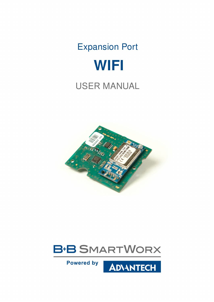# Expansion Port **WIFI**

# USER MANUAL





**Powered by** 

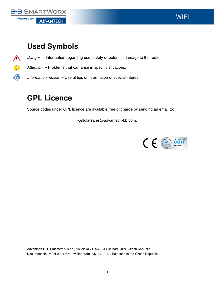

 $\boldsymbol{\Delta}$ 

 $\bullet$ 

 $\ddot{\bm{\theta}}$ 

### Used Symbols

Danger – Information regarding user safety or potential damage to the router.

Attention – Problems that can arise in specific situations.

Information, notice – Useful tips or information of special interest.

### GPL Licence

Source codes under GPL licence are available free of charge by sending an email to:

cellularsales@advantech-bb.com.



Advantech B+B SmartWorx s.r.o., Sokolska 71, 562 04 Usti nad Orlici, Czech Republic. Document No. MAN-0031-EN, revision from July 14, 2017. Released in the Czech Republic.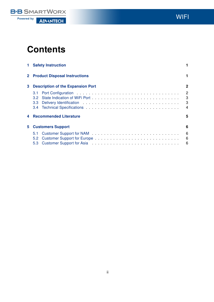

WIFI

### **Contents**

|    | <b>1</b> Safety Instruction                 |                                            |
|----|---------------------------------------------|--------------------------------------------|
|    | <b>2</b> Product Disposal Instructions      | 1.                                         |
| 3  | <b>Description of the Expansion Port</b>    | $\mathbf{2}$                               |
|    | 3.1<br>3.2 <sub>2</sub><br>3.3 <sub>1</sub> | $\overline{2}$<br>3<br>3<br>$\overline{4}$ |
| 4  | <b>Recommended Literature</b>               | 5                                          |
| 5. | <b>Customers Support</b>                    | 6                                          |
|    | 5.1<br>5.2<br>5.3                           | 6<br>6<br>-6                               |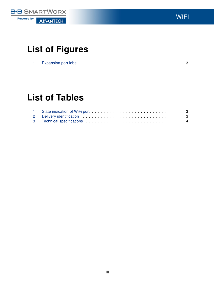

**WIFI** 

## List of Figures

| <b>Expansion port label</b> |  |  |  |  |  |  |  |  |  |  |  |  |  |  |  |  |  |  |
|-----------------------------|--|--|--|--|--|--|--|--|--|--|--|--|--|--|--|--|--|--|

### List of Tables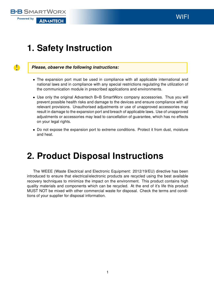#### **B+B SMARTWORX Powered by ADVANTECH**

# <span id="page-4-0"></span>1. Safety Instruction



#### Please, observe the following instructions:

- The expansion port must be used in compliance with all applicable international and national laws and in compliance with any special restrictions regulating the utilization of the communication module in prescribed applications and environments.
- Use only the original Advantech B+B SmartWorx company accessories. Thus you will prevent possible health risks and damage to the devices and ensure compliance with all relevant provisions. Unauthorised adjustments or use of unapproved accessories may result in damage to the expansion port and breach of applicable laws. Use of unapproved adjustments or accessories may lead to cancellation of guarantee, which has no effects on your legal rights.
- Do not expose the expansion port to extreme conditions. Protect it from dust, moisture and heat.

# <span id="page-4-1"></span>2. Product Disposal Instructions

The WEEE (Waste Electrical and Electronic Equipment: 2012/19/EU) directive has been introduced to ensure that electrical/electronic products are recycled using the best available recovery techniques to minimize the impact on the environment. This product contains high quality materials and components which can be recycled. At the end of it's life this product MUST NOT be mixed with other commercial waste for disposal. Check the terms and conditions of your supplier for disposal information.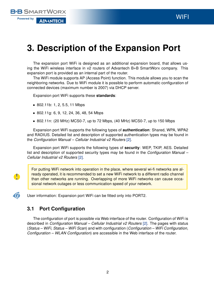### <span id="page-5-0"></span>3. Description of the Expansion Port

The expansion port WiFi is designed as an additional expansion board, that allows using the WiFi wireless interface in v2 routers of Advantech B+B SmartWorx company. This expansion port is provided as an internal part of the router.

The WiFi module supports AP (Access Point) function. This module allows you to scan the neighboring networks. Due to WiFi module it is possible to perform automatic configuration of connected devices (maximum number is 2007) via DHCP server.

Expansion port WiFi supports these standards:

• 802.11b: 1, 2, 5.5, 11 Mbps

**B+B SMARTWORX** 

**AD\ANTECH** 

**Powered by** 

 $\bullet$ 

 $\boldsymbol{G}$ 

- 802.11g: 6, 9, 12, 24, 36, 48, 54 Mbps
- 802.11n: (20 MHz) MCS0-7, up to 72 Mbps, (40 MHz) MCS0-7, up to 150 Mbps

Expansion port WiFi supports the following types of authentication: Shared, WPA, WPA2 and RADIUS. Detailed list and description of supported authentication types may be found in the Configuration Manual – Cellular Industrial v2 Routers [\[2\].](#page-8-0)

Expansion port WiFi supports the following types of security: WEP, TKIP, AES. Detailed list and description of supported security types may be found in the Configuration Manual -Cellular Industrial v2 Routers [\[2\].](#page-8-0)

For putting WiFi network into operation in the place, where several wi-fi networks are already operated, it is recommended to set a new WiFi network to a different radio channel than other networks are running. Overlapping of more WiFi networks can cause occasional network outages or less communication speed of your network.

User information: Expansion port WiFi can be fitted only into PORT2.

#### <span id="page-5-1"></span>3.1 Port Configuration

The configuration of port is possible via Web interface of the router. Configuration of WiFi is described in *Configuration Manual – Cellular Industrial v2 Routers* [\[2\].](#page-8-0) The pages with status (Status – WiFi, Status – WiFi Scan) and with configuration (Configuration – WiFi Configuration, Configuration – WLAN Configuration) are accessible in the Web interface of the router.

**WIFI**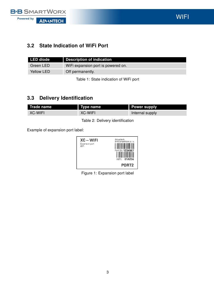

WIFI

#### <span id="page-6-0"></span>3.2 State Indication of WiFi Port

| LED diode  | <b>Description of indication</b>   |
|------------|------------------------------------|
| Green LED  | WiFi expansion port is powered on. |
| Yellow LED | Off permanently.                   |

<span id="page-6-3"></span>Table 1: State indication of WiFi port

#### <span id="page-6-1"></span>3.3 Delivery Identification

| Trade name | Type name | <b>Power supply</b> |
|------------|-----------|---------------------|
| XC-WIFI    | XC-WIFI   | Internal supply     |

<span id="page-6-4"></span>Table 2: Delivery identification

Example of expansion port label:



<span id="page-6-2"></span>Figure 1: Expansion port label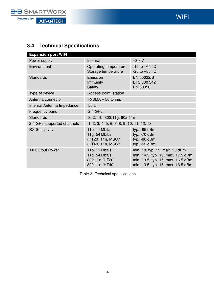

### <span id="page-7-0"></span>3.4 Technical Specifications

| <b>Expansion port WIFI</b> |                                                                            |                                                                                                                                              |
|----------------------------|----------------------------------------------------------------------------|----------------------------------------------------------------------------------------------------------------------------------------------|
| Power supply               | Internal                                                                   | $+3,3V$                                                                                                                                      |
| Environment                | Operating temperature<br>Storage temperature                               | -15 to +65 $\degree$ C<br>-20 to +85 $\degree$ C                                                                                             |
| <b>Standards</b>           | Emission<br>Immunity<br><b>Safety</b>                                      | EN 55022/B<br>ETS 300 342<br>EN 60950                                                                                                        |
| Type of device             | Access point, station                                                      |                                                                                                                                              |
| Antenna connector          | $R-SMA - 50 Ohms$                                                          |                                                                                                                                              |
| Internal Antenna Impedance | 50 $\Omega$                                                                |                                                                                                                                              |
| Frequency band             | 2.4 GHz                                                                    |                                                                                                                                              |
| <b>Standards</b>           | 802.11b, 802.11g, 802.11n                                                  |                                                                                                                                              |
| 2.4 GHz supported channels | 1, 2, 3, 4, 5, 6, 7, 8, 9, 10, 11, 12, 13                                  |                                                                                                                                              |
| <b>RX Sensitivity</b>      | 11b, 11 Mbit/s<br>11g, $54$ Mbit/s<br>(HT20) 11n, MSC7<br>(HT40) 11n, MSC7 | typ. -85 dBm<br>typ. - 70 dBm<br>typ. -66 dBm<br>typ. -62 dBm                                                                                |
| <b>TX Output Power</b>     | 11b, 11 Mbit/s<br>11g, 54 Mbit/s<br>802.11n (HT20)<br>802.11n (HT40)       | min. 18, typ. 19, max. 20 dBm<br>min. 14.5, typ. 16, max. 17.5 dBm<br>min. 13.5, typ. 15, max. 16.5 dBm<br>min. 13.5, typ. 15, max. 16.5 dBm |

<span id="page-7-1"></span>Table 3: Technical specifications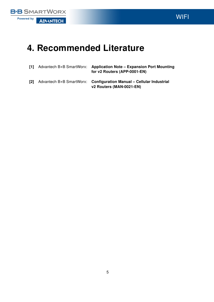

**WIFI** 

# <span id="page-8-0"></span>4. Recommended Literature

| - 111 | Advantech B+B SmartWorx: Application Note – Expansion Port Mounting<br>for v2 Routers (APP-0001-EN) |
|-------|-----------------------------------------------------------------------------------------------------|
| T21   | Advantech B+B SmartWorx: Configuration Manual - Cellular Industrial<br>v2 Routers (MAN-0021-EN)     |